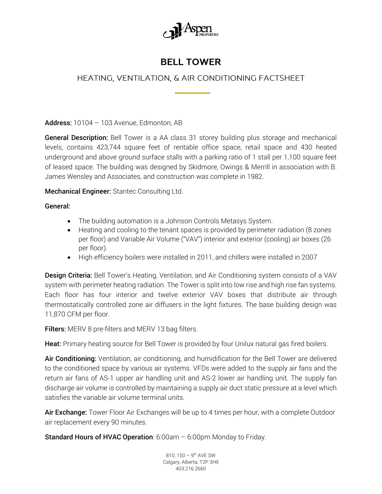

## **BELL TOWER**

## HEATING, VENTILATION, & AIR CONDITIONING FACTSHEET

Address: 10104 - 103 Avenue, Edmonton, AB

General Description: Bell Tower is a AA class 31 storey building plus storage and mechanical levels, contains 423,744 square feet of rentable office space, retail space and 430 heated underground and above ground surface stalls with a parking ratio of 1 stall per 1,100 square feet of leased space. The building was designed by Skidmore, Owings & Merrill in association with B. James Wensley and Associates, and construction was complete in 1982.

Mechanical Engineer: Stantec Consulting Ltd.

General:

- The building automation is a Johnson Controls Metasys System.
- Heating and cooling to the tenant spaces is provided by perimeter radiation (8 zones per floor) and Variable Air Volume ("VAV") interior and exterior (cooling) air boxes (26 per floor).
- High efficiency boilers were installed in 2011, and chillers were installed in 2007

**Design Criteria:** Bell Tower's Heating, Ventilation, and Air Conditioning system consists of a VAV system with perimeter heating radiation. The Tower is split into low rise and high rise fan systems. Each floor has four interior and twelve exterior VAV boxes that distribute air through thermostatically controlled zone air diffusers in the light fixtures. The base building design was 11,870 CFM per floor.

Filters: MERV 8 pre-filters and MERV 13 bag filters.

Heat: Primary heating source for Bell Tower is provided by four Unilux natural gas fired boilers.

Air Conditioning: Ventilation, air conditioning, and humidification for the Bell Tower are delivered to the conditioned space by various air systems. VFDs were added to the supply air fans and the return air fans of AS-1 upper air handling unit and AS-2 lower air handling unit. The supply fan discharge air volume is controlled by maintaining a supply air duct static pressure at a level which satisfies the variable air volume terminal units.

Air Exchange: Tower Floor Air Exchanges will be up to 4 times per hour, with a complete Outdoor air replacement every 90 minutes.

Standard Hours of HVAC Operation: 6:00am – 6:00pm Monday to Friday.

810, 150 – 9<sup>th</sup> AVE SW Calgary, Alberta, T2P 3H9 403.216.2660